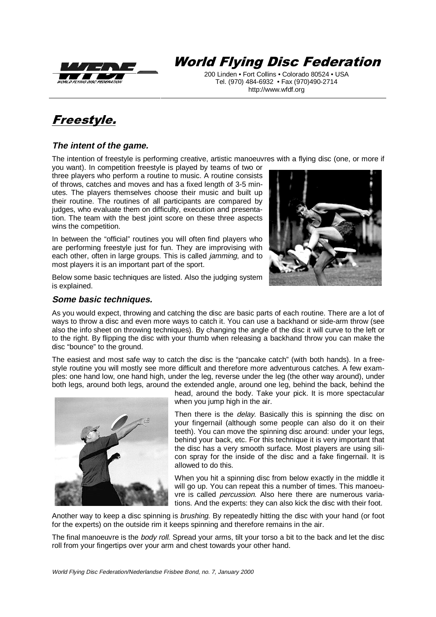

# **World Flying Disc Federation**

200 Linden • Fort Collins • Colorado 80524 • USA Tel. (970) 484-6932 • Fax (970)490-2714 http://www.wfdf.org

## Freestyle.

## **The intent of the game.**

The intention of freestyle is performing creative, artistic manoeuvres with a flying disc (one, or more if

you want). In competition freestyle is played by teams of two or three players who perform a routine to music. A routine consists of throws, catches and moves and has a fixed length of 3-5 minutes. The players themselves choose their music and built up their routine. The routines of all participants are compared by judges, who evaluate them on difficulty, execution and presentation. The team with the best joint score on these three aspects wins the competition.

In between the "official" routines you will often find players who are performing freestyle just for fun. They are improvising with each other, often in large groups. This is called jamming, and to most players it is an important part of the sport.



#### **Some basic techniques.**



As you would expect, throwing and catching the disc are basic parts of each routine. There are a lot of ways to throw a disc and even more ways to catch it. You can use a backhand or side-arm throw (see also the info sheet on throwing techniques). By changing the angle of the disc it will curve to the left or to the right. By flipping the disc with your thumb when releasing a backhand throw you can make the disc "bounce" to the ground.

The easiest and most safe way to catch the disc is the "pancake catch" (with both hands). In a freestyle routine you will mostly see more difficult and therefore more adventurous catches. A few examples: one hand low, one hand high, under the leg, reverse under the leg (the other way around), under both legs, around both legs, around the extended angle, around one leg, behind the back, behind the



head, around the body. Take your pick. It is more spectacular when you jump high in the air.

Then there is the *delay*. Basically this is spinning the disc on your fingernail (although some people can also do it on their teeth). You can move the spinning disc around: under your legs, behind your back, etc. For this technique it is very important that the disc has a very smooth surface. Most players are using silicon spray for the inside of the disc and a fake fingernail. It is allowed to do this.

When you hit a spinning disc from below exactly in the middle it will go up. You can repeat this a number of times. This manoeuvre is called percussion. Also here there are numerous variations. And the experts: they can also kick the disc with their foot.

Another way to keep a disc spinning is brushing. By repeatedly hitting the disc with your hand (or foot for the experts) on the outside rim it keeps spinning and therefore remains in the air.

The final manoeuvre is the *body roll*. Spread your arms, tilt your torso a bit to the back and let the disc roll from your fingertips over your arm and chest towards your other hand.